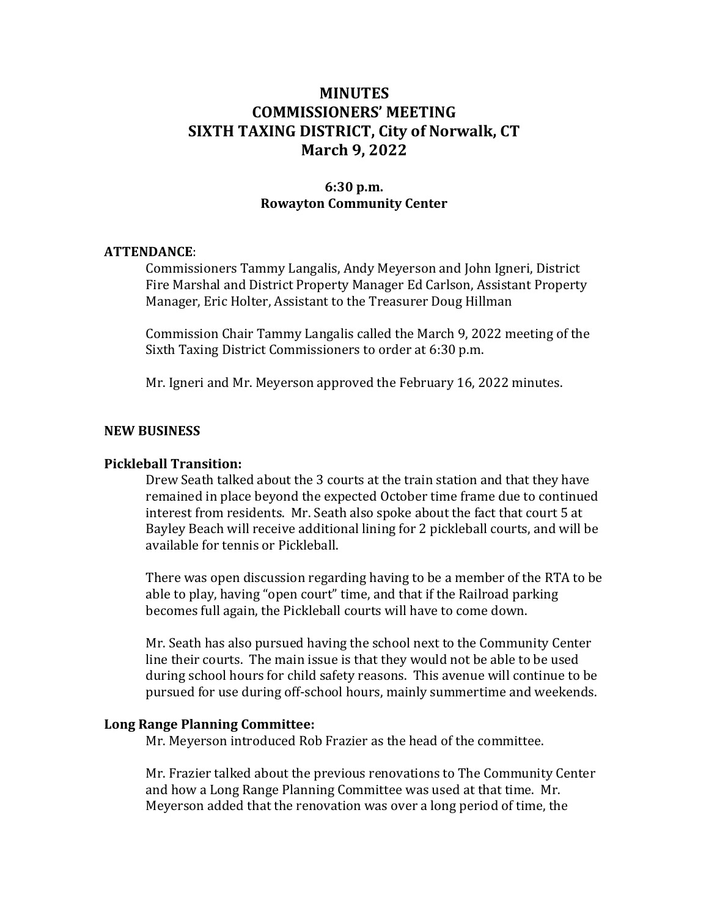# MINUTES COMMISSIONERS' MEETING SIXTH TAXING DISTRICT, City of Norwalk, CT March 9, 2022

### 6:30 p.m. Rowayton Community Center

#### ATTENDANCE:

Commissioners Tammy Langalis, Andy Meyerson and John Igneri, District Fire Marshal and District Property Manager Ed Carlson, Assistant Property Manager, Eric Holter, Assistant to the Treasurer Doug Hillman

Commission Chair Tammy Langalis called the March 9, 2022 meeting of the Sixth Taxing District Commissioners to order at 6:30 p.m.

Mr. Igneri and Mr. Meyerson approved the February 16, 2022 minutes.

### NEW BUSINESS

### Pickleball Transition:

Drew Seath talked about the 3 courts at the train station and that they have remained in place beyond the expected October time frame due to continued interest from residents. Mr. Seath also spoke about the fact that court 5 at Bayley Beach will receive additional lining for 2 pickleball courts, and will be available for tennis or Pickleball.

There was open discussion regarding having to be a member of the RTA to be able to play, having "open court" time, and that if the Railroad parking becomes full again, the Pickleball courts will have to come down.

Mr. Seath has also pursued having the school next to the Community Center line their courts. The main issue is that they would not be able to be used during school hours for child safety reasons. This avenue will continue to be pursued for use during off-school hours, mainly summertime and weekends.

#### Long Range Planning Committee:

Mr. Meyerson introduced Rob Frazier as the head of the committee.

Mr. Frazier talked about the previous renovations to The Community Center and how a Long Range Planning Committee was used at that time. Mr. Meyerson added that the renovation was over a long period of time, the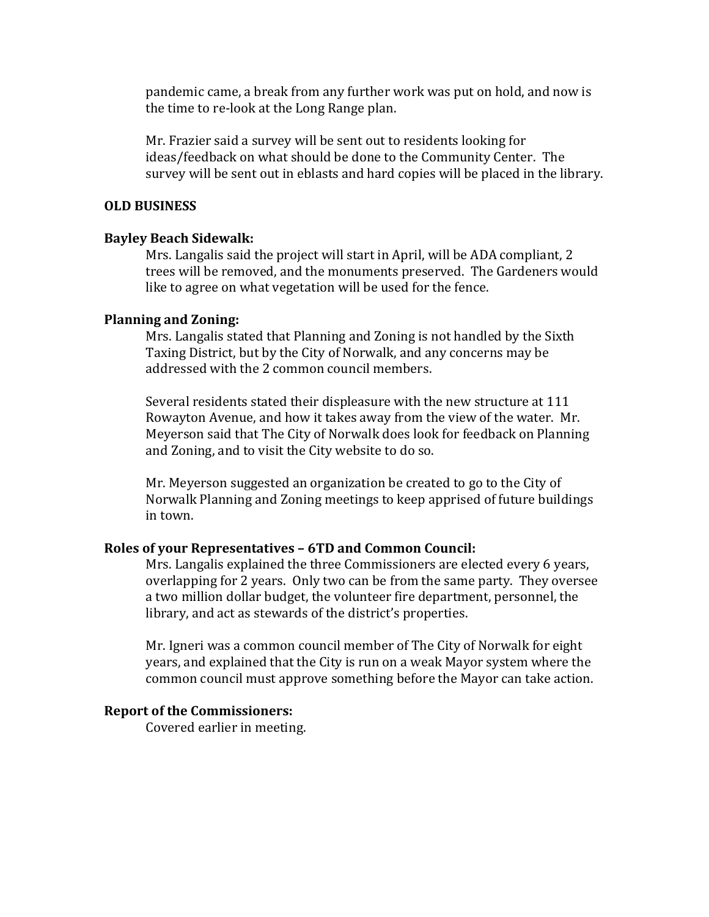pandemic came, a break from any further work was put on hold, and now is the time to re-look at the Long Range plan.

Mr. Frazier said a survey will be sent out to residents looking for ideas/feedback on what should be done to the Community Center. The survey will be sent out in eblasts and hard copies will be placed in the library.

### OLD BUSINESS

### Bayley Beach Sidewalk:

Mrs. Langalis said the project will start in April, will be ADA compliant, 2 trees will be removed, and the monuments preserved. The Gardeners would like to agree on what vegetation will be used for the fence.

#### Planning and Zoning:

Mrs. Langalis stated that Planning and Zoning is not handled by the Sixth Taxing District, but by the City of Norwalk, and any concerns may be addressed with the 2 common council members.

Several residents stated their displeasure with the new structure at 111 Rowayton Avenue, and how it takes away from the view of the water. Mr. Meyerson said that The City of Norwalk does look for feedback on Planning and Zoning, and to visit the City website to do so.

Mr. Meyerson suggested an organization be created to go to the City of Norwalk Planning and Zoning meetings to keep apprised of future buildings in town.

#### Roles of your Representatives – 6TD and Common Council:

Mrs. Langalis explained the three Commissioners are elected every 6 years, overlapping for 2 years. Only two can be from the same party. They oversee a two million dollar budget, the volunteer fire department, personnel, the library, and act as stewards of the district's properties.

Mr. Igneri was a common council member of The City of Norwalk for eight years, and explained that the City is run on a weak Mayor system where the common council must approve something before the Mayor can take action.

### Report of the Commissioners:

Covered earlier in meeting.